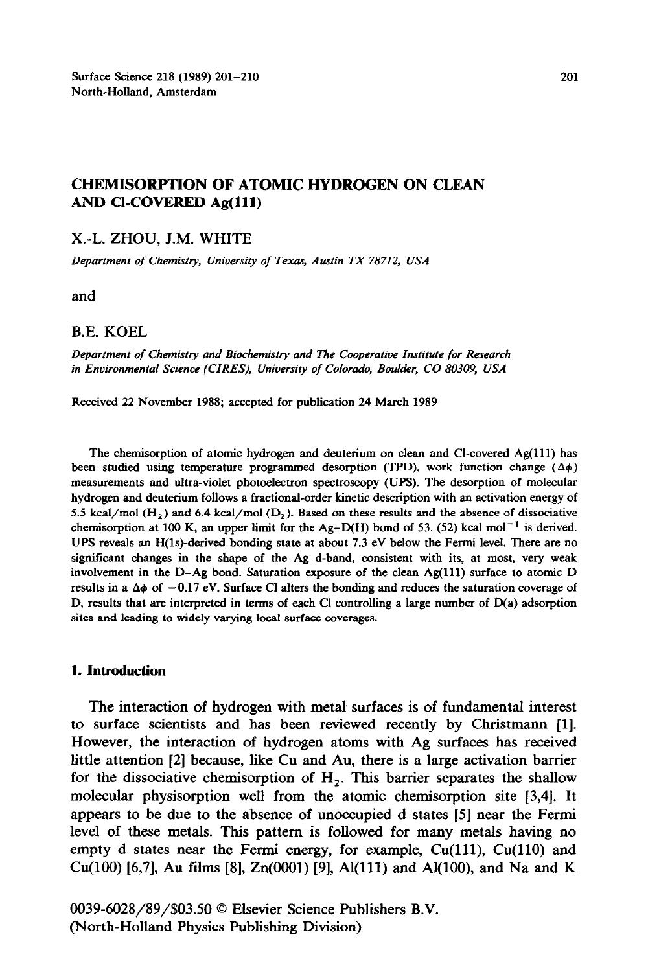## **CHEMISORPTION OF ATOMIC HYDROGEN ON CLEAN AND Cl-COVERED Ag(ll1)**

### **X.-L. ZHOU, J.M. WHITE**

*Department of Chemistty, University of Texas, Austin TX 78712, USA* 

**and** 

### **B.E. KOEL**

*Department of Chemistry and Biochemistry and The Cooperative Institute for Research in Environmental Science (CIRES), University of Colorado, Boulder, CO 80309, USA* 

**Received 22 November 1988; accepted for publication 24 March 1989** 

**The chemisorption of atomic hydrogen and deuterium on clean and Cl-covered Ag(ll1) has**  been studied using temperature programmed desorption (TPD), work function change  $(\Delta \phi)$ **measurements and ultra-violet photoelectron spectroscopy (UPS). The desorption of molecular hydrogen and deuterium follows a fractional-order kinetic description with an activation energy of**  5.5 kcal/mol  $(H_2)$  and 6.4 kcal/mol  $(D_2)$ . Based on these results and the absence of dissociative chemisorption at 100 K, an upper limit for the  $Ag-D(H)$  bond of 53. (52) kcal mol<sup>-1</sup> is derived. **UPS reveals an H(ls)-derived bonding state at about 7.3 eV below the Fermi level. There are no significant changes in the shape of the Ag d-band, consistent with its, at most, very weak involvement in the D-Ag bond. Saturation exposure of the clean Ag(ll1) surface to atomic D**  results in a  $\Delta\phi$  of  $-0.17$  eV. Surface Cl alters the bonding and reduces the saturation coverage of **D, results that are interpreted in terms of each Cl controlling a large number of D(a) adsorption sites and leading to widely varying local surface coverages.** 

#### **1. Introduction**

**The interaction of hydrogen with metal surfaces is of fundamental interest to surface scientists and has been reviewed recently by Christmann [l]. However, the interaction of hydrogen atoms with Ag surfaces has received little attention [2] because, like Cu and Au, there is a large activation barrier**  for the dissociative chemisorption of  $H_2$ . This barrier separates the shallow **molecular physisorption well from the atomic chemisorption site [3,4]. It appears to be due to the absence of unoccupied d states [5] near the Fermi level of these metals. This pattern is followed for many metals having no**  empty d states near the Fermi energy, for example, Cu(111), Cu(110) and **Cu(100) [6,7], Au films [8], Zn(OOO1) [9], Al(lll) and Al(lOO), and Na and K** 

**0039-6028/89/\$03.50 0 Elsevier Science Publishers B.V. (North-Holland Physics Publishing Division)**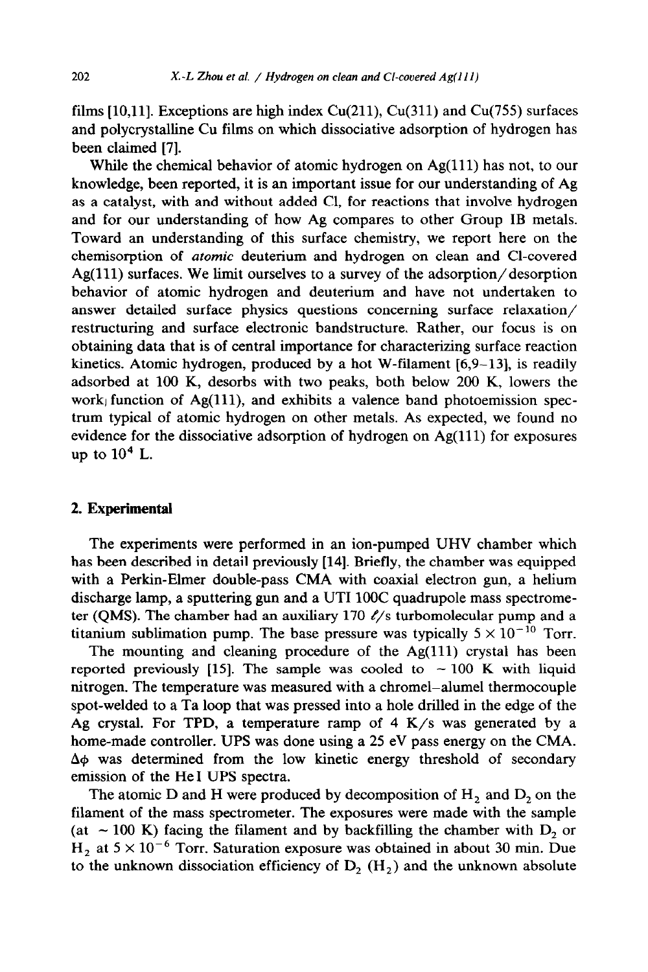films [10,11]. Exceptions are high index Cu(211), Cu(311) and Cu(755) surfaces and polycrystalline Cu films on which dissociative adsorption of hydrogen has been claimed [7].

While the chemical behavior of atomic hydrogen on  $Ag(111)$  has not, to our knowledge, been reported, it is an important issue for our understanding of Ag as a catalyst, with and without added Cl, for reactions that involve hydrogen and for our understanding of how Ag compares to other Group IB metals. Toward an understanding of this surface chemistry, we report here on the chemisorption of *atomic* deuterium and hydrogen on clean and Cl-covered Ag(ll1) surfaces. We limit ourselves to a survey of the adsorption/desorption behavior of atomic hydrogen and deuterium and have not undertaken to answer detailed surface physics questions concerning surface relaxation/ restructuring and surface electronic bandstructure. Rather, our focus is on obtaining data that is of central importance for characterizing surface reaction kinetics. Atomic hydrogen, produced by a hot W-filament  $[6,9-13]$ , is readily adsorbed at 100 K, desorbs with two peaks, both below 200 K, lowers the work function of Ag(111), and exhibits a valence band photoemission spectrum typical of atomic hydrogen on other metals. As expected, we found no evidence for the dissociative adsorption of hydrogen on Ag(111) for exposures up to  $10^4$  L.

## 2. **Experimental**

The experiments were performed in an ion-pumped UHV chamber which has been described in detail previously [14]. Briefly, the chamber was equipped with a Perkin-Elmer double-pass CMA with coaxial electron gun, a helium discharge lamp, a sputtering gun and a UTI 100C quadrupole mass spectrometer (QMS). The chamber had an auxiliary 170  $\ell$ /s turbomolecular pump and a titanium sublimation pump. The base pressure was typically  $5 \times 10^{-10}$  Torr.

The mounting and cleaning procedure of the  $Ag(111)$  crystal has been reported previously [15]. The sample was cooled to  $\sim 100$  K with liquid nitrogen. The temperature was measured with a chromel-alumel thermocouple spot-welded to a Ta loop that was pressed into a hole drilled in the edge of the Ag crystal. For TPD, a temperature ramp of  $4 K/s$  was generated by a home-made controller. UPS was done using a 25 eV pass energy on the CMA.  $\Delta\phi$  was determined from the low kinetic energy threshold of secondary emission of the He1 UPS spectra.

The atomic  $D$  and  $H$  were produced by decomposition of  $H_2$  and  $D_2$  on the filament of the mass spectrometer. The exposures were made with the sample (at  $\sim$  100 K) facing the filament and by backfilling the chamber with D<sub>2</sub> or  $H_2$  at  $5 \times 10^{-6}$  Torr. Saturation exposure was obtained in about 30 min. Due to the unknown dissociation efficiency of  $D_2$  (H<sub>2</sub>) and the unknown absolute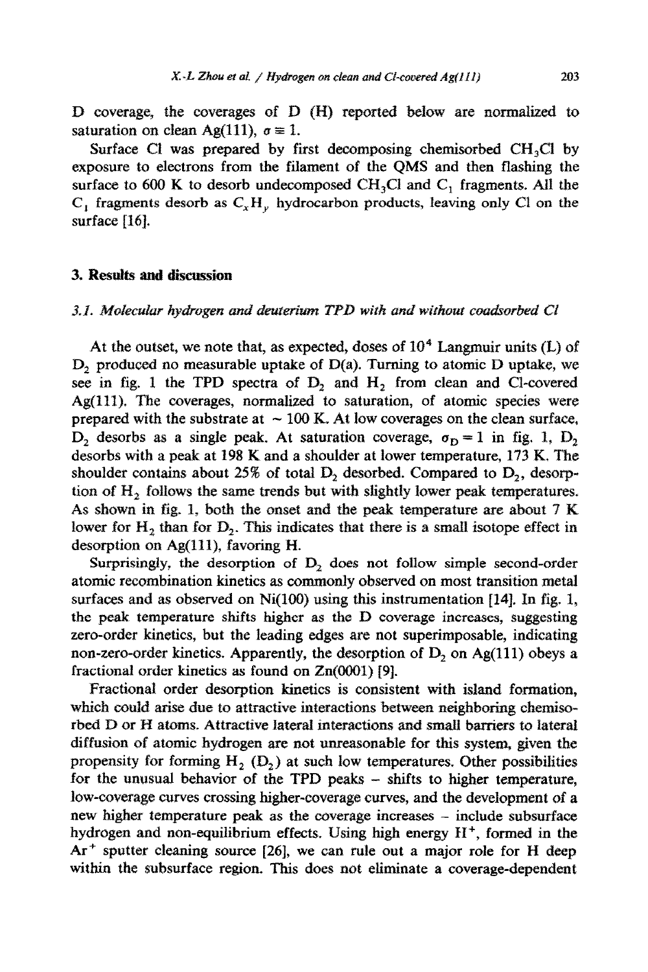D coverage, the coverages of D (H) reported below are normalized to saturation on clean Ag(111),  $\sigma = 1$ .

Surface Cl was prepared by first decomposing chemisorbed  $CH<sub>3</sub>Cl$  by exposure to electrons from the filament of the QMS and then flashing the surface to 600 K to desorb undecomposed CH<sub>3</sub>Cl and C<sub>1</sub> fragments. All the C<sub>1</sub> fragments desorb as  $C_xH_y$  hydrocarbon products, leaving only Cl on the surface  $[16]$ .

### 3. Results and discussion

## 3.1. Molecular hydrogen and deuterium TPD with and without coadsorbed Cl

At the outset, we note that, as expected, doses of  $10<sup>4</sup>$  Langmuir units (L) of D<sub>2</sub> produced no measurable uptake of  $D(a)$ . Turning to atomic D uptake, we see in fig. 1 the TPD spectra of  $D_2$  and  $H_2$  from clean and Cl-covered Ag{lll). The coverages, normalized to saturation, of atomic species were prepared with the substrate at  $\sim 100$  K. At low coverages on the clean surface, D<sub>2</sub> desorbs as a single peak. At saturation coverage,  $\sigma_{\rm D} = 1$  in fig. 1, D<sub>2</sub> desorbs with a peak at 198 K and a shoulder at lower temperature, 173 K, The shoulder contains about 25% of total  $D_2$  desorbed. Compared to  $D_2$ , desorption of  $H<sub>2</sub>$  follows the same trends but with slightly lower peak temperatures. As shown in fig. 1, both the onset and the peak temperature are about  $7 K$ lower for H<sub>2</sub> than for D<sub>2</sub>. This indicates that there is a small isotope effect in desorption on  $Ag(111)$ , favoring H.

Surprisingly, the desorption of  $D_2$  does not follow simple second-order atomic recombination kinetics as commonly observed on most transition metal surfaces and as observed on  $Ni(100)$  using this instrumentation [14]. In fig. 1, the peak temperature shifts higher as the  $D$  coverage increases, suggesting zero-order kinetics, but the leading edges are not superimposable, indicating non-zero-order kinetics. Apparently, the desorption of  $D_2$  on Ag(111) obeys a fractional order kinetics as found on  $Zn(0001)$  [9].

Fractional order desorption kinetics is consistent with island formation, which could arise due to attractive interactions between neighboring chemisorbed  $D$  or  $H$  atoms. Attractive lateral interactions and small barriers to lateral diffusion of atomic hydrogen are not unreasonable for this system, given the propensity for forming  $H_2$  (D<sub>2</sub>) at such low temperatures. Other possibilities for the unusual behavior of the TPD peaks - shifts to higher temperature, low-coverage curves crossing higher-coverage curves, and the development of a new higher temperature peak as the coverage increases - include subsurface hydrogen and non-equilibrium effects. Using high energy H<sup>+</sup>, formed in the  $Ar^+$  sputter cleaning source [26], we can rule out a major role for H deep within the subsurface region. This does not eliminate a coverage-dependent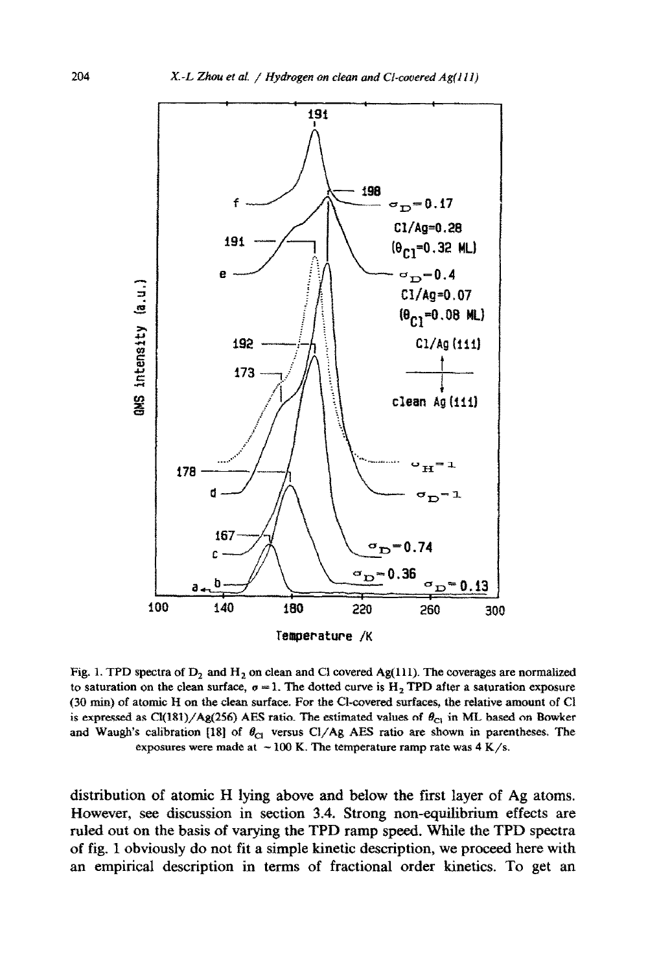

Fig. 1. TPD spectra of D<sub>2</sub> and H<sub>2</sub> on clean and Cl covered Ag(111). The coverages are normalized to saturation on the clean surface,  $\sigma = 1$ . The dotted curve is  $H_2$  TPD after a saturation exposure **(30 tin) of atomic R on the cleats surface. For the Cl-covered surfaces, the relative amount of Cl**  is expressed as  $Cl(181)/Ag(256)$  AES ratio. The estimated values of  $\theta_{C1}$  in ML based on Bowker and Waugh's calibration [18] of  $\theta_{\text{Cl}}$  versus Cl/Ag AES ratio are shown in parentheses. The exposures were made at  $\sim$  100 K. The temperature ramp rate was  $4$  K/s.

distribution of atomic H lying above and below the first layer of Ag atoms. However, see discussion in section 3.4. Strong non-equilibrium effects are ruled out on the basis of varying the TPD ramp speed. While the TPD spectra of fig. 1 obviously do not fit a simple kinetic description, we proceed here with an empirical description in terms of fractional order kinetics. To get an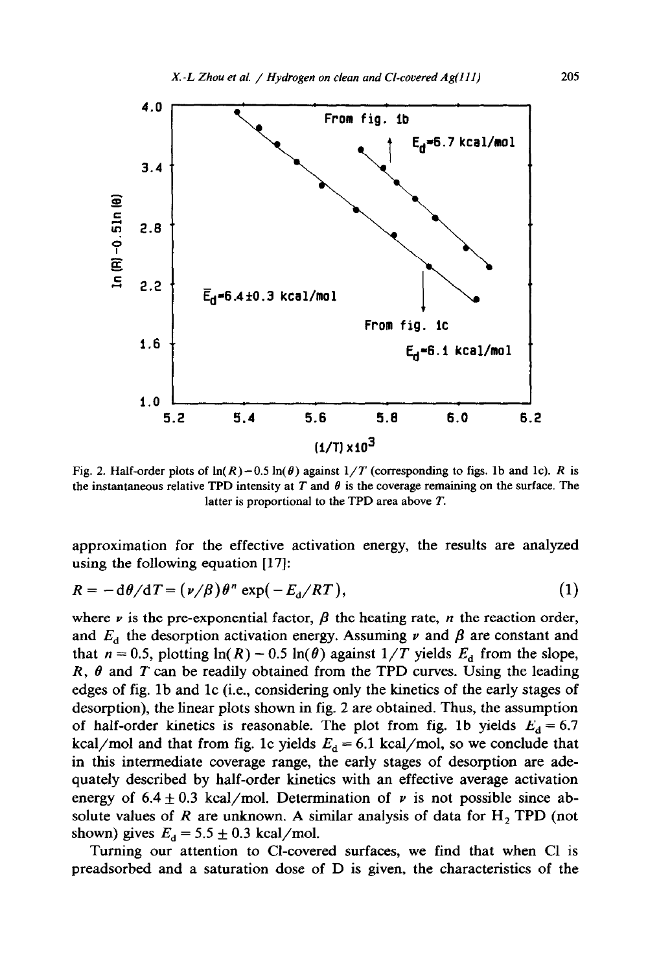

Fig. 2. Half-order plots of  $ln(R) - 0.5 ln(\theta)$  against  $1/T$  (corresponding to figs. 1b and 1c). *R* is the instantaneous relative TPD intensity at *T* and  $\theta$  is the coverage remaining on the surface. The latter is proportional to the TPD area above *T.* 

approximation for the effective activation energy, the results are analyzed using the following equation [17]:

$$
R = -d\theta/dT = (\nu/\beta)\theta^n \exp(-E_d/RT), \qquad (1)
$$

where  $\nu$  is the pre-exponential factor,  $\beta$  the heating rate, *n* the reaction order, and  $E_d$  the desorption activation energy. Assuming  $\nu$  and  $\beta$  are constant and that  $n = 0.5$ , plotting  $ln(R) - 0.5 ln(\theta)$  against  $1/T$  yields  $E_d$  from the slope, *R, 8* and *T can* be readily obtained from the TPD curves. Using the leading edges of fig. lb and lc (i.e., considering only the kinetics of the early stages of desorption), the linear plots shown in fig. 2 are obtained. Thus, the assumption of half-order kinetics is reasonable. The plot from fig. 1b yields  $E_d = 6.7$ kcal/mol and that from fig. 1c yields  $E_d = 6.1$  kcal/mol, so we conclude that in this intermediate coverage range, the early stages of desorption are adequately described by half-order kinetics with an effective average activation energy of  $6.4 \pm 0.3$  kcal/mol. Determination of  $\nu$  is not possible since absolute values of  $R$  are unknown. A similar analysis of data for  $H_2$  TPD (not shown) gives  $E_d = 5.5 \pm 0.3$  kcal/mol.

Turning our attention to Cl-covered surfaces, we find that when Cl is preadsorbed and a saturation dose of D is given, the characteristics of the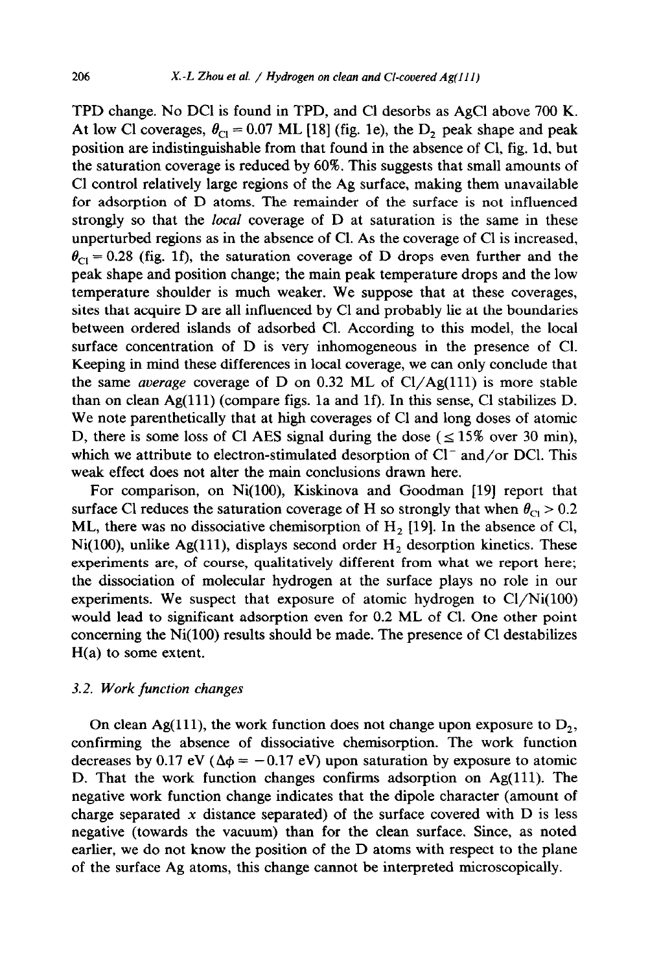TPD change. No DC1 is found in TPD, and Cl desorbs as AgCl above 700 K. At low Cl coverages,  $\theta_{\text{Cl}} = 0.07$  ML [18] (fig. 1e), the  $D_2$  peak shape and peak position are indistinguishable from that found in the absence of Cl, fig. Id, but the saturation coverage is reduced by 60%. This suggests that small amounts of Cl control relatively large regions of the Ag surface, making them unavailable for adsorption of D atoms. The remainder of the surface is not influenced strongly so that the *local* coverage of D at saturation is the same in these unperturbed regions as in the absence of Cl. As the coverage of Cl is increased,  $\theta_{\text{Cl}}$  = 0.28 (fig. 1f), the saturation coverage of D drops even further and the peak shape and position change; the main peak temperature drops and the low temperature shoulder is much weaker. We suppose that at these coverages, sites that acquire D are all influenced by Cl and probably lie at the boundaries between ordered islands of adsorbed Cl. According to this model, the local surface concentration of D is very inhomogeneous in the presence of Cl. Keeping in mind these differences in local coverage, we can only conclude that the same *average* coverage of D on 0.32 ML of  $Cl/Ag(111)$  is more stable than on clean  $Ag(111)$  (compare figs. 1a and 1f). In this sense, Cl stabilizes D. We note parenthetically that at high coverages of Cl and long doses of atomic D, there is some loss of Cl AES signal during the dose ( $\leq 15\%$  over 30 min), which we attribute to electron-stimulated desorption of  $Cl^-$  and/or DCl. This weak effect does not alter the main conclusions drawn here.

For comparison, on Ni(100), Kiskinova and Goodman [19] report that surface Cl reduces the saturation coverage of H so strongly that when  $\theta_{C_1} > 0.2$ ML, there was no dissociative chemisorption of  $H<sub>2</sub>$  [19]. In the absence of Cl, Ni(100), unlike Ag(111), displays second order  $H_2$  desorption kinetics. These experiments are, of course, qualitatively different from what we report here; the dissociation of molecular hydrogen at the surface plays no role in our experiments. We suspect that exposure of atomic hydrogen to  $Cl/Ni(100)$ would lead to significant adsorption even for 0.2 ML of Cl. One other point concerning the Ni(lOO) results should be made. The presence of Cl destabilizes H(a) to some extent.

## 3.2. *Work function changes*

On clean Ag(111), the work function does not change upon exposure to  $D_2$ , confirming the absence of dissociative chemisorption. The work function decreases by 0.17 eV ( $\Delta \phi = -0.17$  eV) upon saturation by exposure to atomic D. That the work function changes confirms adsorption on Ag(111). The negative work function change indicates that the dipole character (amount of charge separated  $x$  distance separated) of the surface covered with  $D$  is less negative (towards the vacuum) than for the clean surface. Since, as noted earlier, we do not know the position of the D atoms with respect to the plane of the surface Ag atoms, this change cannot be interpreted microscopically.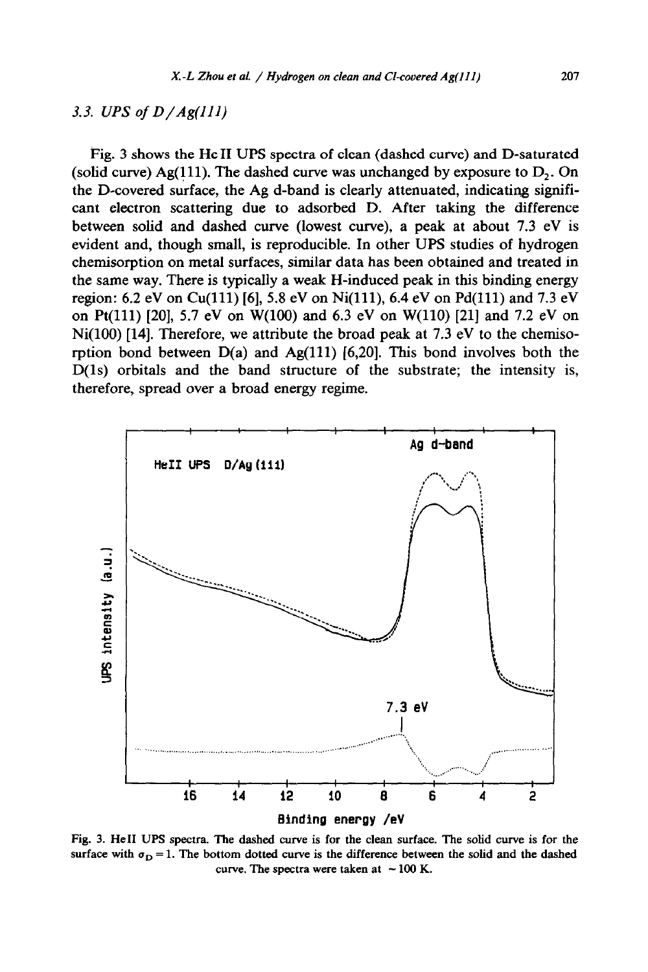# **3.3.** *UPS of D/Ag(llI)*

Fig. 3 shows the He II UPS spectra of clean (dashed curve) and D-saturated (solid curve) Ag(111). The dashed curve was unchanged by exposure to  $D_2$ . On the D-covered surface, the Ag d-band is clearly attenuated, indicating significant electron scattering due to adsorbed D. After taking the difference between solid and dashed curve (lowest curve), a peak at about 7.3 eV is evident and, though small, is reproducible. In other UPS studies of hydrogen chemisorption on metal surfaces, similar data has been obtained and treated in the same way. There is typically a weak H-induced peak in this binding energy region: 6.2 eV on Cu(111) [6], 5.8 eV on Ni(111), 6.4 eV on Pd(111) and 7.3 eV on Pt(ll1) [20], 5.7 eV on W(100) and 6.3 eV on W(110) [21] and 7.2 eV on Ni(100) [14]. Therefore, we attribute the broad peak at 7.3 eV to the chemisorption bond between  $D(a)$  and  $Ag(111)$  [6,20]. This bond involves both the D(ls) orbitals and the band structure of the substrate; the intensity is, therefore, spread over a broad energy regime.



**Fig. 3. He11 UPS spectra. The dashed curve is for the clean surface. The solid curve is for the**  surface with  $\sigma_{\rm D} = 1$ . The bottom dotted curve is the difference between the solid and the dashed curve. The spectra were taken at  $\sim$  100 K.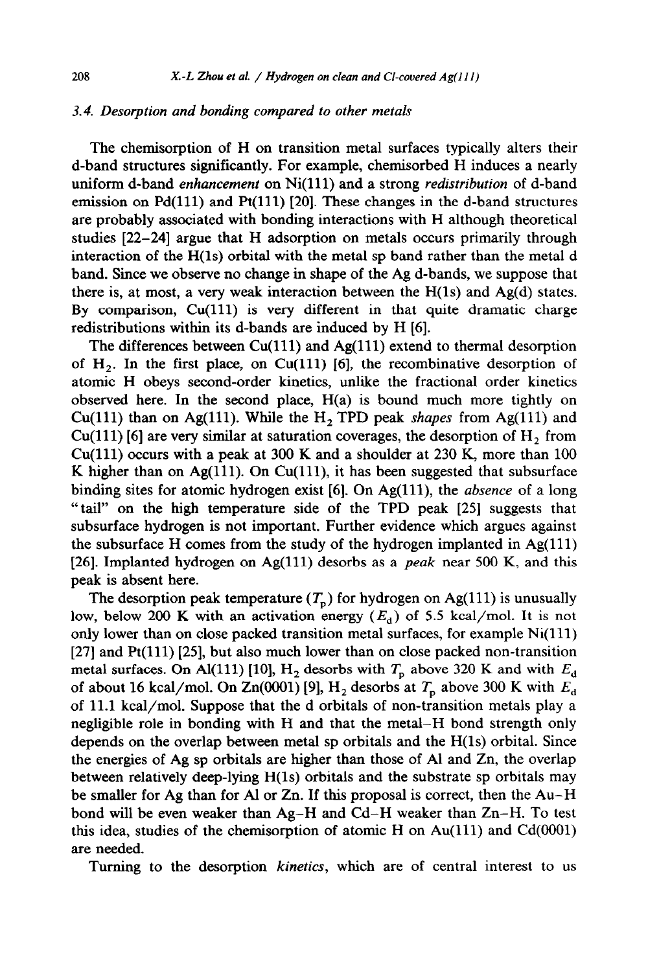## *3.4. Desorption and bonding compared to other metals*

The chemisorption of H on transition metal surfaces typically alters their d-band structures significantly. For example, chemisorbed H induces a nearly uniform d-band *enhancement* on Ni(ll1) and a strong *redistribution* of d-band emission on  $Pd(111)$  and  $Pf(111)$  [20]. These changes in the d-band structures are probably associated with bonding interactions with H although theoretical studies [22-241 argue that H adsorption on metals occurs primarily through interaction of the H(ls) orbital with the metal sp band rather than the metal d band. Since we observe no change in shape of the Ag d-bands, we suppose that there is, at most, a very weak interaction between the H(ls) and Ag(d) states. By comparison, Cu(ll1) is very different in that quite dramatic charge redistributions within its d-bands are induced by H [6].

The differences between  $Cu(111)$  and Ag $(111)$  extend to thermal desorption of  $H<sub>2</sub>$ . In the first place, on Cu(111) [6], the recombinative desorption of atomic H obeys second-order kinetics, unlike the fractional order kinetics observed here. In the second place,  $H(a)$  is bound much more tightly on Cu(111) than on Ag(111). While the  $H_2$  TPD peak *shapes* from Ag(111) and  $Cu(111)$  [6] are very similar at saturation coverages, the desorption of  $H_2$ , from Cu(111) occurs with a peak at 300 K and a shoulder at 230 K, more than  $100$ K higher than on Ag(111). On Cu(111), it has been suggested that subsurface binding sites for atomic hydrogen exist [6]. On Ag(111), the *absence* of a long "tail" on the high temperature side of the TPD peak [25] suggests that subsurface hydrogen is not important. Further evidence which argues against the subsurface H comes from the study of the hydrogen implanted in  $Ag(111)$ [26]. Implanted hydrogen on Ag(ll1) desorbs as a *peak* near 500 K, and this peak is absent here.

The desorption peak temperature  $(T_p)$  for hydrogen on Ag(111) is unusually low, below 200 K with an activation energy  $(E_d)$  of 5.5 kcal/mol. It is not only lower than on close packed transition metal surfaces, for example  $Ni(111)$  $[27]$  and Pt $(111)$   $[25]$ , but also much lower than on close packed non-transition metal surfaces. On Al(111) [10],  $H_2$  desorbs with  $T_p$  above 320 K and with  $E_d$ of about 16 kcal/mol. On Zn(0001) [9],  $H_2$  desorbs at  $T_p$  above 300 K with  $E_d$ of 11.1 kcal/mol. Suppose that the d orbitals of non-transition metals play a negligible role in bonding with H and that the metal-H bond strength only depends on the overlap between metal sp orbitals and the H(ls) orbital. Since the energies of Ag sp orbitals are higher than those of Al and Zn, the overlap between relatively deep-lying H(ls) orbitals and the substrate sp orbitals may be smaller for Ag than for Al or Zn. If this proposal is correct, then the Au-H bond will be even weaker than Ag-H and Cd-H weaker than Zn-H. To test this idea, studies of the chemisorption of atomic H on  $Au(111)$  and  $Cd(0001)$ are needed.

Turning to the desorption *kinetics,* which are of central interest to us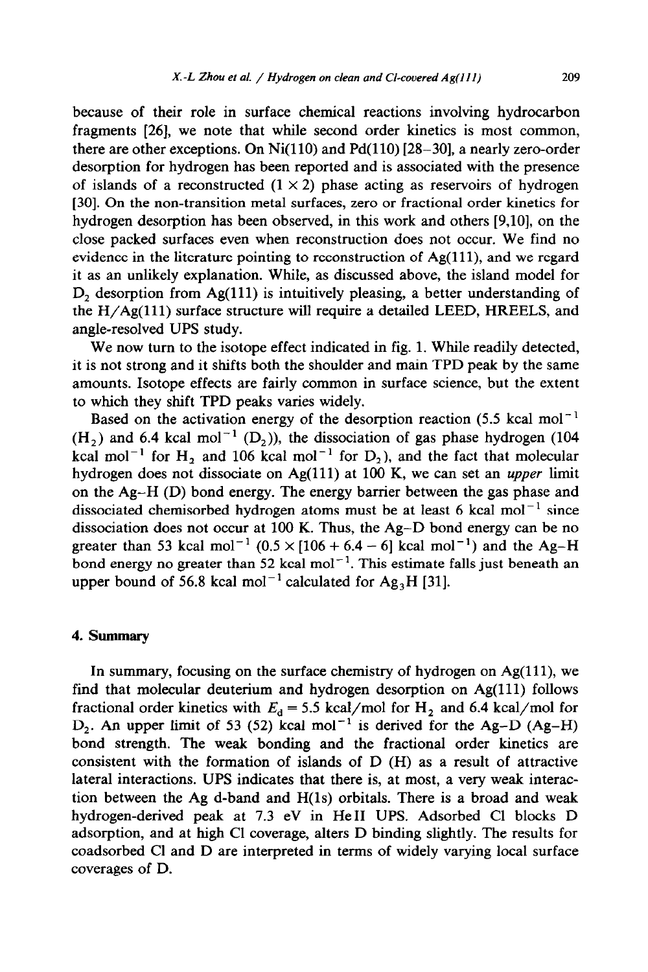because of their role in surface chemical reactions involving hydrocarbon fragments [26], we note that while second order kinetics is most common, there are other exceptions. On  $Ni(110)$  and  $Pd(110)$  [28-30], a nearly zero-order desorption for hydrogen has been reported and is associated with the presence of islands of a reconstructed  $(1 \times 2)$  phase acting as reservoirs of hydrogen [30]. On the non-transition metal surfaces, zero or fractional order kinetics for hydrogen desorption has been observed, in this work and others [9,10], on the close packed surfaces even when reconstruction does not occur. We find no evidence in the literature pointing to reconstruction of Ag(111), and we regard it as an unlikely explanation. While, as discussed above, the island model for  $D<sub>2</sub>$  desorption from Ag(111) is intuitively pleasing, a better understanding of the H/Ag(lll) surface structure will require a detailed LEED, HREELS, and angle-resolved UPS study.

We now turn to the isotope effect indicated in fig. 1. While readily detected, it is not strong and it shifts both the shoulder and main TPD peak by the same amounts. Isotope effects are fairly common in surface science, but the extent to which they shift TPD peaks varies widely.

Based on the activation energy of the desorption reaction (5.5 kcal mol<sup>-1</sup>  $(H<sub>2</sub>)$  and 6.4 kcal mol<sup>-1</sup> (D<sub>2</sub>)), the dissociation of gas phase hydrogen (104) kcal mol<sup>-1</sup> for H<sub>2</sub> and 106 kcal mol<sup>-1</sup> for D<sub>2</sub>), and the fact that molecular hydrogen does not dissociate on Ag(ll1) at 100 K, we can set an *upper* limit on the Ag-H (D) bond energy. The energy barrier between the gas phase and dissociated chemisorbed hydrogen atoms must be at least 6 kcal mol<sup>-1</sup> since dissociation does not occur at 100 K. Thus, the Ag-D bond energy can be no greater than 53 kcal mol<sup>-1</sup>  $(0.5 \times [106 + 6.4 - 6]$  kcal mol<sup>-1</sup>) and the Ag-H bond energy no greater than 52 kcal mol<sup>-1</sup>. This estimate falls just beneath an upper bound of 56.8 kcal mol<sup>-1</sup> calculated for  $Ag<sub>3</sub>H$  [31].

#### 4. **Summary**

In summary, focusing on the surface chemistry of hydrogen on  $Ag(111)$ , we find that molecular deuterium and hydrogen desorption on  $Ag(111)$  follows fractional order kinetics with  $E_d = 5.5$  kcal/mol for H<sub>2</sub> and 6.4 kcal/mol for D<sub>2</sub>. An upper limit of 53 (52) kcal mol<sup>-1</sup> is derived for the Ag-D (Ag-H) bond strength. The weak bonding and the fractional order kinetics are consistent with the formation of islands of D (H) as a result of attractive lateral interactions. UPS indicates that there is, at most, a very weak interaction between the Ag d-band and H(ls) orbitals. There is a broad and weak hydrogen-derived peak at 7.3 eV in He11 UPS, Adsorbed Cl blocks D adsorption, and at high Cl coverage, alters D binding slightly. The results for coadsorbed Cl and D are interpreted in terms of widely varying local surface coverages of D.